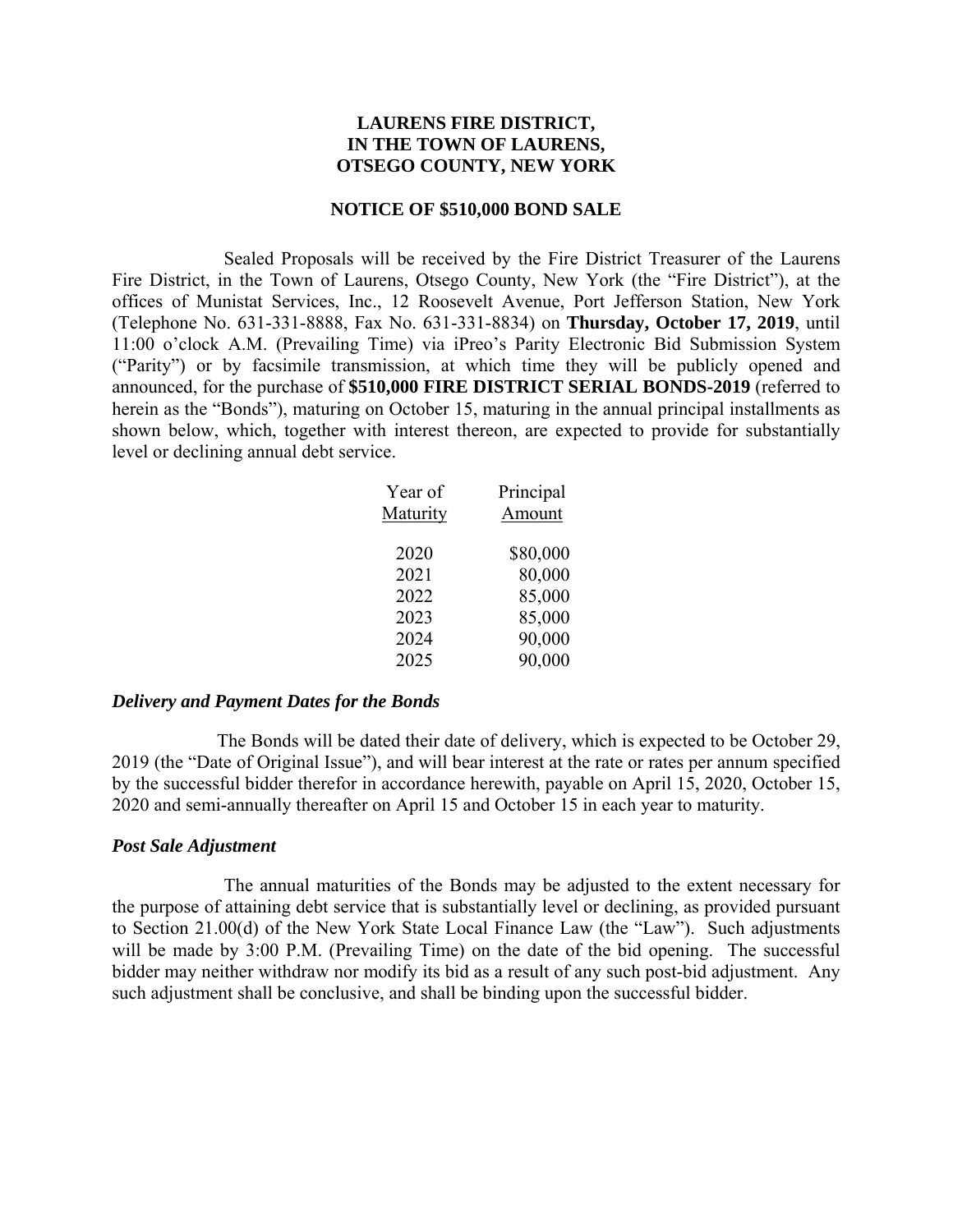## **LAURENS FIRE DISTRICT, IN THE TOWN OF LAURENS, OTSEGO COUNTY, NEW YORK**

#### **NOTICE OF \$510,000 BOND SALE**

Sealed Proposals will be received by the Fire District Treasurer of the Laurens Fire District, in the Town of Laurens, Otsego County, New York (the "Fire District"), at the offices of Munistat Services, Inc., 12 Roosevelt Avenue, Port Jefferson Station, New York (Telephone No. 631-331-8888, Fax No. 631-331-8834) on **Thursday, October 17, 2019**, until 11:00 o'clock A.M. (Prevailing Time) via iPreo's Parity Electronic Bid Submission System ("Parity") or by facsimile transmission, at which time they will be publicly opened and announced, for the purchase of **\$510,000 FIRE DISTRICT SERIAL BONDS-2019** (referred to herein as the "Bonds"), maturing on October 15, maturing in the annual principal installments as shown below, which, together with interest thereon, are expected to provide for substantially level or declining annual debt service.

| Year of  | Principal |
|----------|-----------|
| Maturity | Amount    |
| 2020     | \$80,000  |
| 2021     | 80,000    |
| 2022     | 85,000    |
| 2023     | 85,000    |
| 2024     | 90,000    |
| 2025     | 90,000    |

#### *Delivery and Payment Dates for the Bonds*

The Bonds will be dated their date of delivery, which is expected to be October 29, 2019 (the "Date of Original Issue"), and will bear interest at the rate or rates per annum specified by the successful bidder therefor in accordance herewith, payable on April 15, 2020, October 15, 2020 and semi-annually thereafter on April 15 and October 15 in each year to maturity.

#### *Post Sale Adjustment*

The annual maturities of the Bonds may be adjusted to the extent necessary for the purpose of attaining debt service that is substantially level or declining, as provided pursuant to Section 21.00(d) of the New York State Local Finance Law (the "Law"). Such adjustments will be made by 3:00 P.M. (Prevailing Time) on the date of the bid opening. The successful bidder may neither withdraw nor modify its bid as a result of any such post-bid adjustment. Any such adjustment shall be conclusive, and shall be binding upon the successful bidder.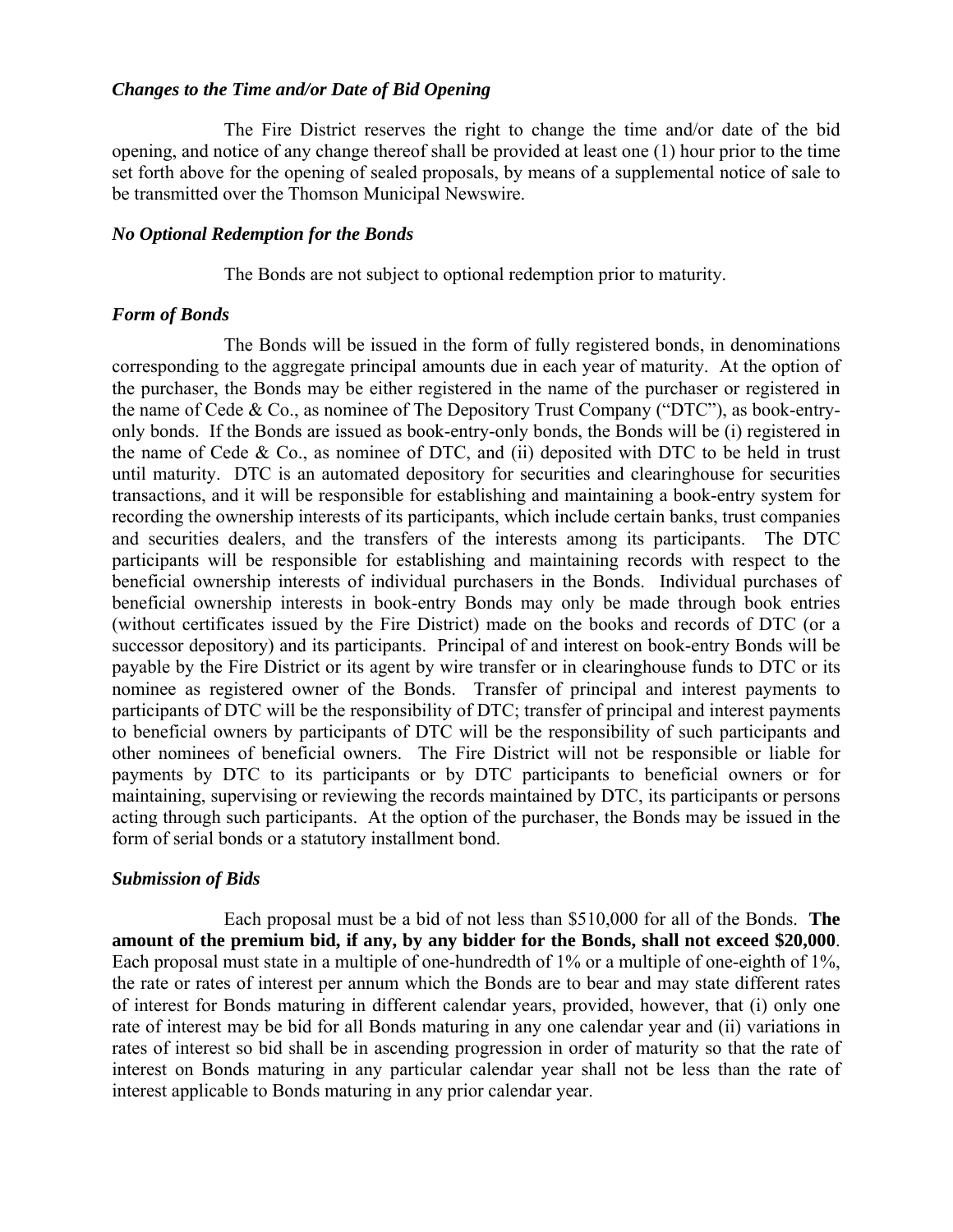#### *Changes to the Time and/or Date of Bid Opening*

The Fire District reserves the right to change the time and/or date of the bid opening, and notice of any change thereof shall be provided at least one (1) hour prior to the time set forth above for the opening of sealed proposals, by means of a supplemental notice of sale to be transmitted over the Thomson Municipal Newswire.

#### *No Optional Redemption for the Bonds*

The Bonds are not subject to optional redemption prior to maturity.

## *Form of Bonds*

The Bonds will be issued in the form of fully registered bonds, in denominations corresponding to the aggregate principal amounts due in each year of maturity. At the option of the purchaser, the Bonds may be either registered in the name of the purchaser or registered in the name of Cede & Co., as nominee of The Depository Trust Company ("DTC"), as book-entryonly bonds. If the Bonds are issued as book-entry-only bonds, the Bonds will be (i) registered in the name of Cede  $& Co.,$  as nominee of DTC, and (ii) deposited with DTC to be held in trust until maturity. DTC is an automated depository for securities and clearinghouse for securities transactions, and it will be responsible for establishing and maintaining a book-entry system for recording the ownership interests of its participants, which include certain banks, trust companies and securities dealers, and the transfers of the interests among its participants. The DTC participants will be responsible for establishing and maintaining records with respect to the beneficial ownership interests of individual purchasers in the Bonds. Individual purchases of beneficial ownership interests in book-entry Bonds may only be made through book entries (without certificates issued by the Fire District) made on the books and records of DTC (or a successor depository) and its participants. Principal of and interest on book-entry Bonds will be payable by the Fire District or its agent by wire transfer or in clearinghouse funds to DTC or its nominee as registered owner of the Bonds. Transfer of principal and interest payments to participants of DTC will be the responsibility of DTC; transfer of principal and interest payments to beneficial owners by participants of DTC will be the responsibility of such participants and other nominees of beneficial owners. The Fire District will not be responsible or liable for payments by DTC to its participants or by DTC participants to beneficial owners or for maintaining, supervising or reviewing the records maintained by DTC, its participants or persons acting through such participants. At the option of the purchaser, the Bonds may be issued in the form of serial bonds or a statutory installment bond.

## *Submission of Bids*

Each proposal must be a bid of not less than \$510,000 for all of the Bonds. **The amount of the premium bid, if any, by any bidder for the Bonds, shall not exceed \$20,000**. Each proposal must state in a multiple of one-hundredth of 1% or a multiple of one-eighth of 1%, the rate or rates of interest per annum which the Bonds are to bear and may state different rates of interest for Bonds maturing in different calendar years, provided, however, that (i) only one rate of interest may be bid for all Bonds maturing in any one calendar year and (ii) variations in rates of interest so bid shall be in ascending progression in order of maturity so that the rate of interest on Bonds maturing in any particular calendar year shall not be less than the rate of interest applicable to Bonds maturing in any prior calendar year.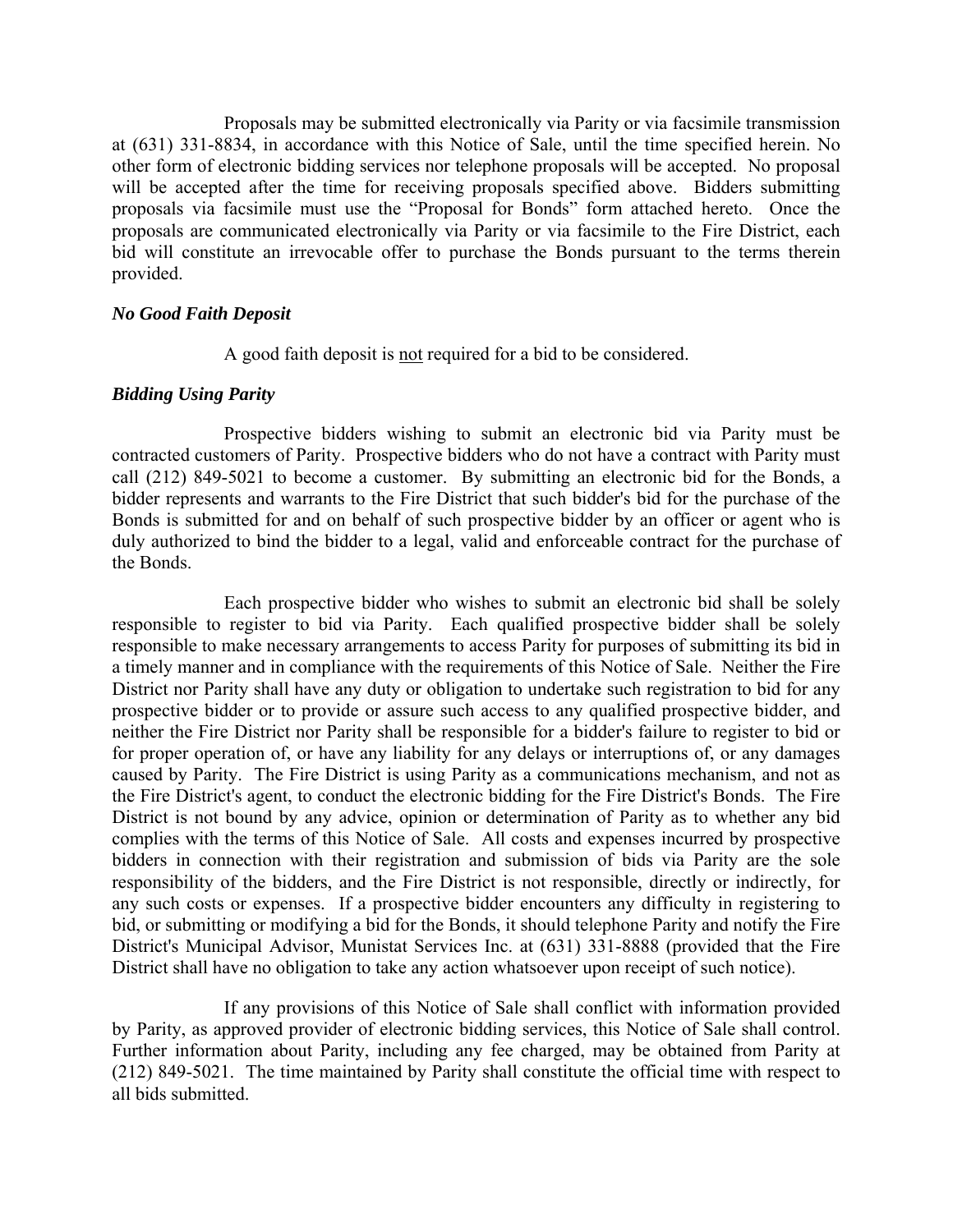Proposals may be submitted electronically via Parity or via facsimile transmission at (631) 331-8834, in accordance with this Notice of Sale, until the time specified herein. No other form of electronic bidding services nor telephone proposals will be accepted. No proposal will be accepted after the time for receiving proposals specified above. Bidders submitting proposals via facsimile must use the "Proposal for Bonds" form attached hereto. Once the proposals are communicated electronically via Parity or via facsimile to the Fire District, each bid will constitute an irrevocable offer to purchase the Bonds pursuant to the terms therein provided.

#### *No Good Faith Deposit*

A good faith deposit is not required for a bid to be considered.

## *Bidding Using Parity*

Prospective bidders wishing to submit an electronic bid via Parity must be contracted customers of Parity. Prospective bidders who do not have a contract with Parity must call (212) 849-5021 to become a customer. By submitting an electronic bid for the Bonds, a bidder represents and warrants to the Fire District that such bidder's bid for the purchase of the Bonds is submitted for and on behalf of such prospective bidder by an officer or agent who is duly authorized to bind the bidder to a legal, valid and enforceable contract for the purchase of the Bonds.

Each prospective bidder who wishes to submit an electronic bid shall be solely responsible to register to bid via Parity. Each qualified prospective bidder shall be solely responsible to make necessary arrangements to access Parity for purposes of submitting its bid in a timely manner and in compliance with the requirements of this Notice of Sale. Neither the Fire District nor Parity shall have any duty or obligation to undertake such registration to bid for any prospective bidder or to provide or assure such access to any qualified prospective bidder, and neither the Fire District nor Parity shall be responsible for a bidder's failure to register to bid or for proper operation of, or have any liability for any delays or interruptions of, or any damages caused by Parity. The Fire District is using Parity as a communications mechanism, and not as the Fire District's agent, to conduct the electronic bidding for the Fire District's Bonds. The Fire District is not bound by any advice, opinion or determination of Parity as to whether any bid complies with the terms of this Notice of Sale. All costs and expenses incurred by prospective bidders in connection with their registration and submission of bids via Parity are the sole responsibility of the bidders, and the Fire District is not responsible, directly or indirectly, for any such costs or expenses. If a prospective bidder encounters any difficulty in registering to bid, or submitting or modifying a bid for the Bonds, it should telephone Parity and notify the Fire District's Municipal Advisor, Munistat Services Inc. at (631) 331-8888 (provided that the Fire District shall have no obligation to take any action whatsoever upon receipt of such notice).

If any provisions of this Notice of Sale shall conflict with information provided by Parity, as approved provider of electronic bidding services, this Notice of Sale shall control. Further information about Parity, including any fee charged, may be obtained from Parity at (212) 849-5021. The time maintained by Parity shall constitute the official time with respect to all bids submitted.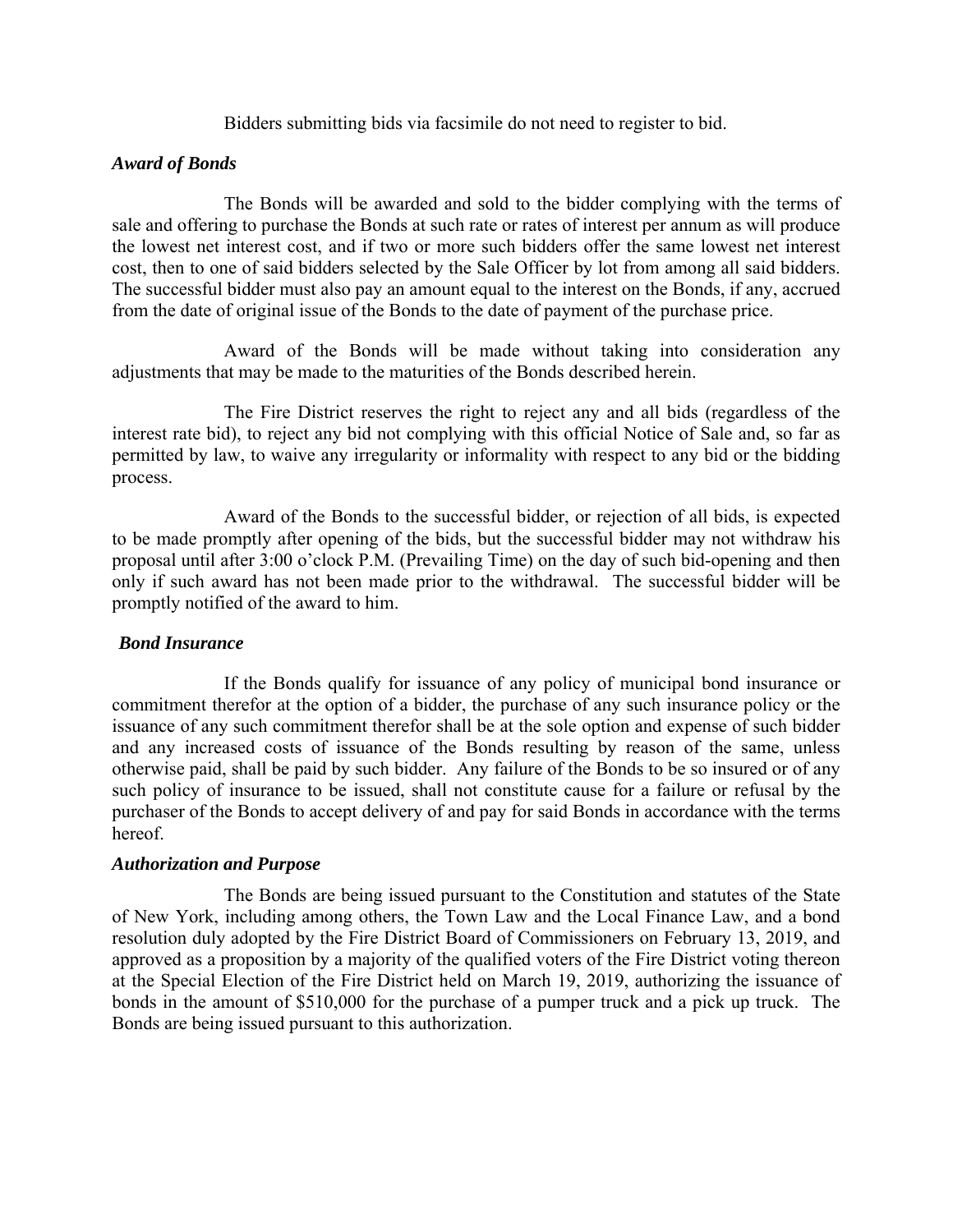Bidders submitting bids via facsimile do not need to register to bid.

## *Award of Bonds*

The Bonds will be awarded and sold to the bidder complying with the terms of sale and offering to purchase the Bonds at such rate or rates of interest per annum as will produce the lowest net interest cost, and if two or more such bidders offer the same lowest net interest cost, then to one of said bidders selected by the Sale Officer by lot from among all said bidders. The successful bidder must also pay an amount equal to the interest on the Bonds, if any, accrued from the date of original issue of the Bonds to the date of payment of the purchase price.

Award of the Bonds will be made without taking into consideration any adjustments that may be made to the maturities of the Bonds described herein.

The Fire District reserves the right to reject any and all bids (regardless of the interest rate bid), to reject any bid not complying with this official Notice of Sale and, so far as permitted by law, to waive any irregularity or informality with respect to any bid or the bidding process.

Award of the Bonds to the successful bidder, or rejection of all bids, is expected to be made promptly after opening of the bids, but the successful bidder may not withdraw his proposal until after 3:00 o'clock P.M. (Prevailing Time) on the day of such bid-opening and then only if such award has not been made prior to the withdrawal. The successful bidder will be promptly notified of the award to him.

## *Bond Insurance*

If the Bonds qualify for issuance of any policy of municipal bond insurance or commitment therefor at the option of a bidder, the purchase of any such insurance policy or the issuance of any such commitment therefor shall be at the sole option and expense of such bidder and any increased costs of issuance of the Bonds resulting by reason of the same, unless otherwise paid, shall be paid by such bidder. Any failure of the Bonds to be so insured or of any such policy of insurance to be issued, shall not constitute cause for a failure or refusal by the purchaser of the Bonds to accept delivery of and pay for said Bonds in accordance with the terms hereof.

## *Authorization and Purpose*

The Bonds are being issued pursuant to the Constitution and statutes of the State of New York, including among others, the Town Law and the Local Finance Law, and a bond resolution duly adopted by the Fire District Board of Commissioners on February 13, 2019, and approved as a proposition by a majority of the qualified voters of the Fire District voting thereon at the Special Election of the Fire District held on March 19, 2019, authorizing the issuance of bonds in the amount of \$510,000 for the purchase of a pumper truck and a pick up truck. The Bonds are being issued pursuant to this authorization.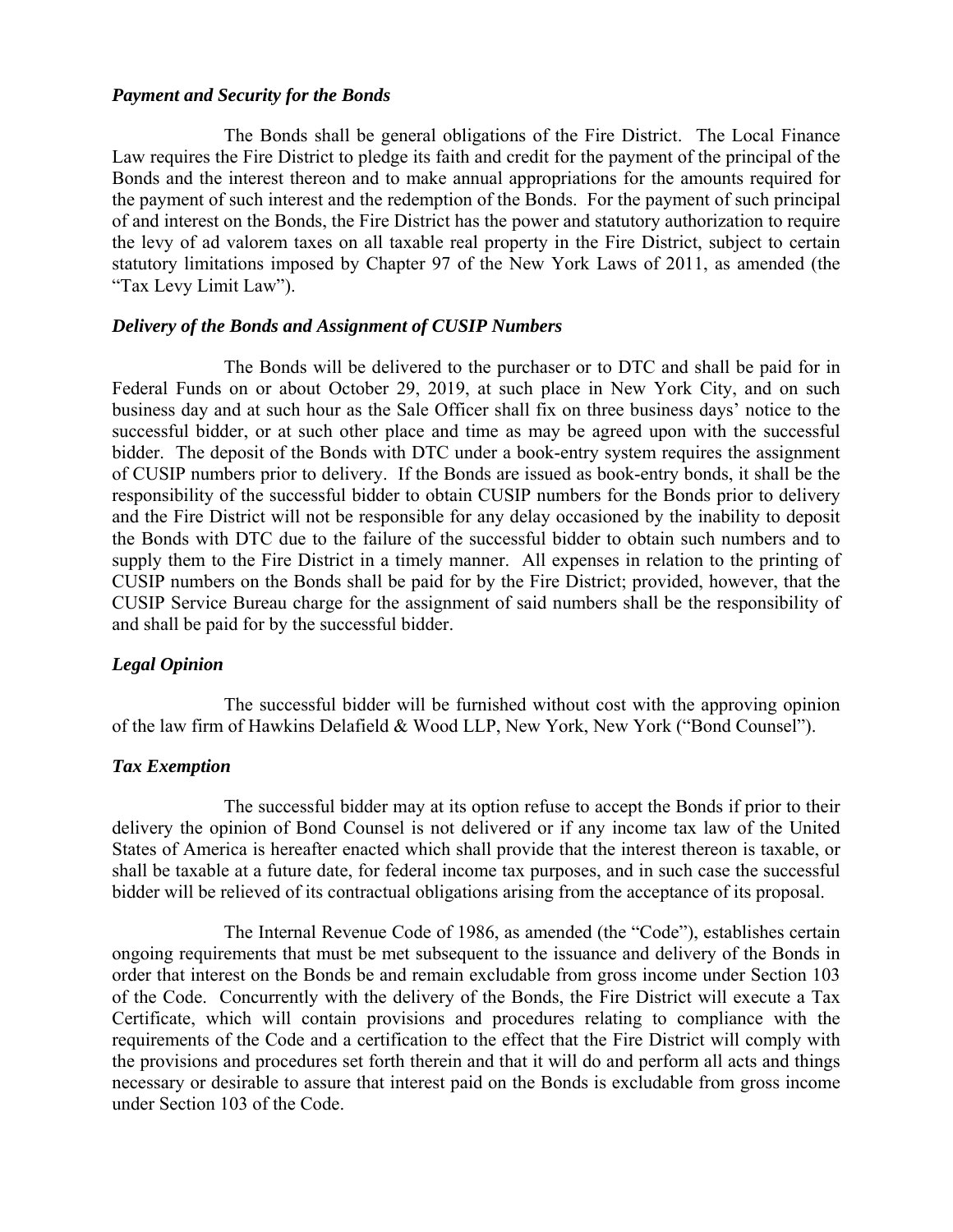### *Payment and Security for the Bonds*

The Bonds shall be general obligations of the Fire District. The Local Finance Law requires the Fire District to pledge its faith and credit for the payment of the principal of the Bonds and the interest thereon and to make annual appropriations for the amounts required for the payment of such interest and the redemption of the Bonds. For the payment of such principal of and interest on the Bonds, the Fire District has the power and statutory authorization to require the levy of ad valorem taxes on all taxable real property in the Fire District, subject to certain statutory limitations imposed by Chapter 97 of the New York Laws of 2011, as amended (the "Tax Levy Limit Law").

#### *Delivery of the Bonds and Assignment of CUSIP Numbers*

The Bonds will be delivered to the purchaser or to DTC and shall be paid for in Federal Funds on or about October 29, 2019, at such place in New York City, and on such business day and at such hour as the Sale Officer shall fix on three business days' notice to the successful bidder, or at such other place and time as may be agreed upon with the successful bidder. The deposit of the Bonds with DTC under a book-entry system requires the assignment of CUSIP numbers prior to delivery. If the Bonds are issued as book-entry bonds, it shall be the responsibility of the successful bidder to obtain CUSIP numbers for the Bonds prior to delivery and the Fire District will not be responsible for any delay occasioned by the inability to deposit the Bonds with DTC due to the failure of the successful bidder to obtain such numbers and to supply them to the Fire District in a timely manner. All expenses in relation to the printing of CUSIP numbers on the Bonds shall be paid for by the Fire District; provided, however, that the CUSIP Service Bureau charge for the assignment of said numbers shall be the responsibility of and shall be paid for by the successful bidder.

## *Legal Opinion*

The successful bidder will be furnished without cost with the approving opinion of the law firm of Hawkins Delafield & Wood LLP, New York, New York ("Bond Counsel").

## *Tax Exemption*

The successful bidder may at its option refuse to accept the Bonds if prior to their delivery the opinion of Bond Counsel is not delivered or if any income tax law of the United States of America is hereafter enacted which shall provide that the interest thereon is taxable, or shall be taxable at a future date, for federal income tax purposes, and in such case the successful bidder will be relieved of its contractual obligations arising from the acceptance of its proposal.

The Internal Revenue Code of 1986, as amended (the "Code"), establishes certain ongoing requirements that must be met subsequent to the issuance and delivery of the Bonds in order that interest on the Bonds be and remain excludable from gross income under Section 103 of the Code. Concurrently with the delivery of the Bonds, the Fire District will execute a Tax Certificate, which will contain provisions and procedures relating to compliance with the requirements of the Code and a certification to the effect that the Fire District will comply with the provisions and procedures set forth therein and that it will do and perform all acts and things necessary or desirable to assure that interest paid on the Bonds is excludable from gross income under Section 103 of the Code.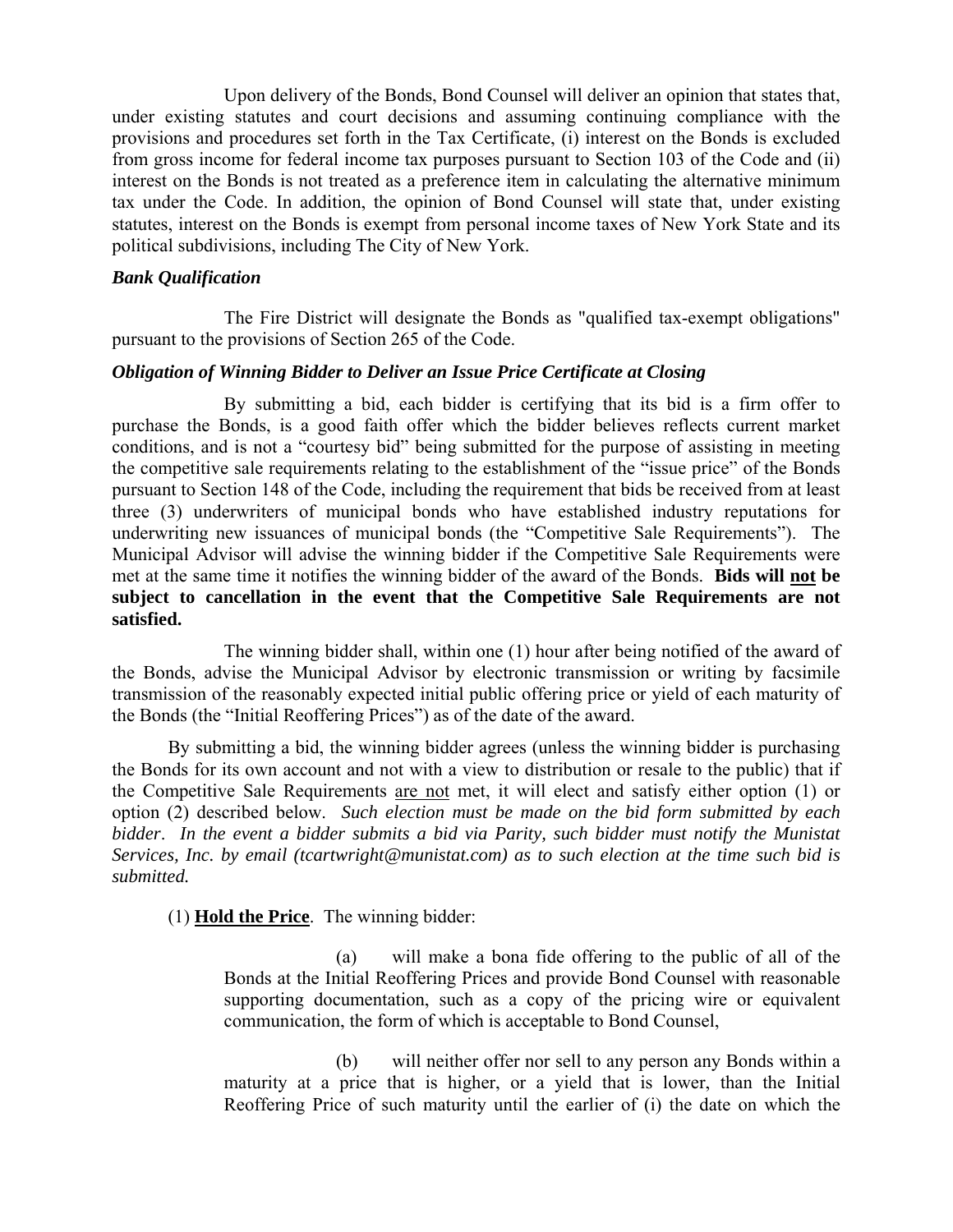Upon delivery of the Bonds, Bond Counsel will deliver an opinion that states that, under existing statutes and court decisions and assuming continuing compliance with the provisions and procedures set forth in the Tax Certificate, (i) interest on the Bonds is excluded from gross income for federal income tax purposes pursuant to Section 103 of the Code and (ii) interest on the Bonds is not treated as a preference item in calculating the alternative minimum tax under the Code. In addition, the opinion of Bond Counsel will state that, under existing statutes, interest on the Bonds is exempt from personal income taxes of New York State and its political subdivisions, including The City of New York.

# *Bank Qualification*

The Fire District will designate the Bonds as "qualified tax-exempt obligations" pursuant to the provisions of Section 265 of the Code.

## *Obligation of Winning Bidder to Deliver an Issue Price Certificate at Closing*

By submitting a bid, each bidder is certifying that its bid is a firm offer to purchase the Bonds, is a good faith offer which the bidder believes reflects current market conditions, and is not a "courtesy bid" being submitted for the purpose of assisting in meeting the competitive sale requirements relating to the establishment of the "issue price" of the Bonds pursuant to Section 148 of the Code, including the requirement that bids be received from at least three (3) underwriters of municipal bonds who have established industry reputations for underwriting new issuances of municipal bonds (the "Competitive Sale Requirements"). The Municipal Advisor will advise the winning bidder if the Competitive Sale Requirements were met at the same time it notifies the winning bidder of the award of the Bonds. **Bids will not be subject to cancellation in the event that the Competitive Sale Requirements are not satisfied.**

The winning bidder shall, within one (1) hour after being notified of the award of the Bonds, advise the Municipal Advisor by electronic transmission or writing by facsimile transmission of the reasonably expected initial public offering price or yield of each maturity of the Bonds (the "Initial Reoffering Prices") as of the date of the award.

By submitting a bid, the winning bidder agrees (unless the winning bidder is purchasing the Bonds for its own account and not with a view to distribution or resale to the public) that if the Competitive Sale Requirements are not met, it will elect and satisfy either option (1) or option (2) described below. *Such election must be made on the bid form submitted by each bidder*. *In the event a bidder submits a bid via Parity, such bidder must notify the Munistat Services, Inc. by email (tcartwright@munistat.com) as to such election at the time such bid is submitted.* 

(1) **Hold the Price**. The winning bidder:

(a) will make a bona fide offering to the public of all of the Bonds at the Initial Reoffering Prices and provide Bond Counsel with reasonable supporting documentation, such as a copy of the pricing wire or equivalent communication, the form of which is acceptable to Bond Counsel,

(b) will neither offer nor sell to any person any Bonds within a maturity at a price that is higher, or a yield that is lower, than the Initial Reoffering Price of such maturity until the earlier of (i) the date on which the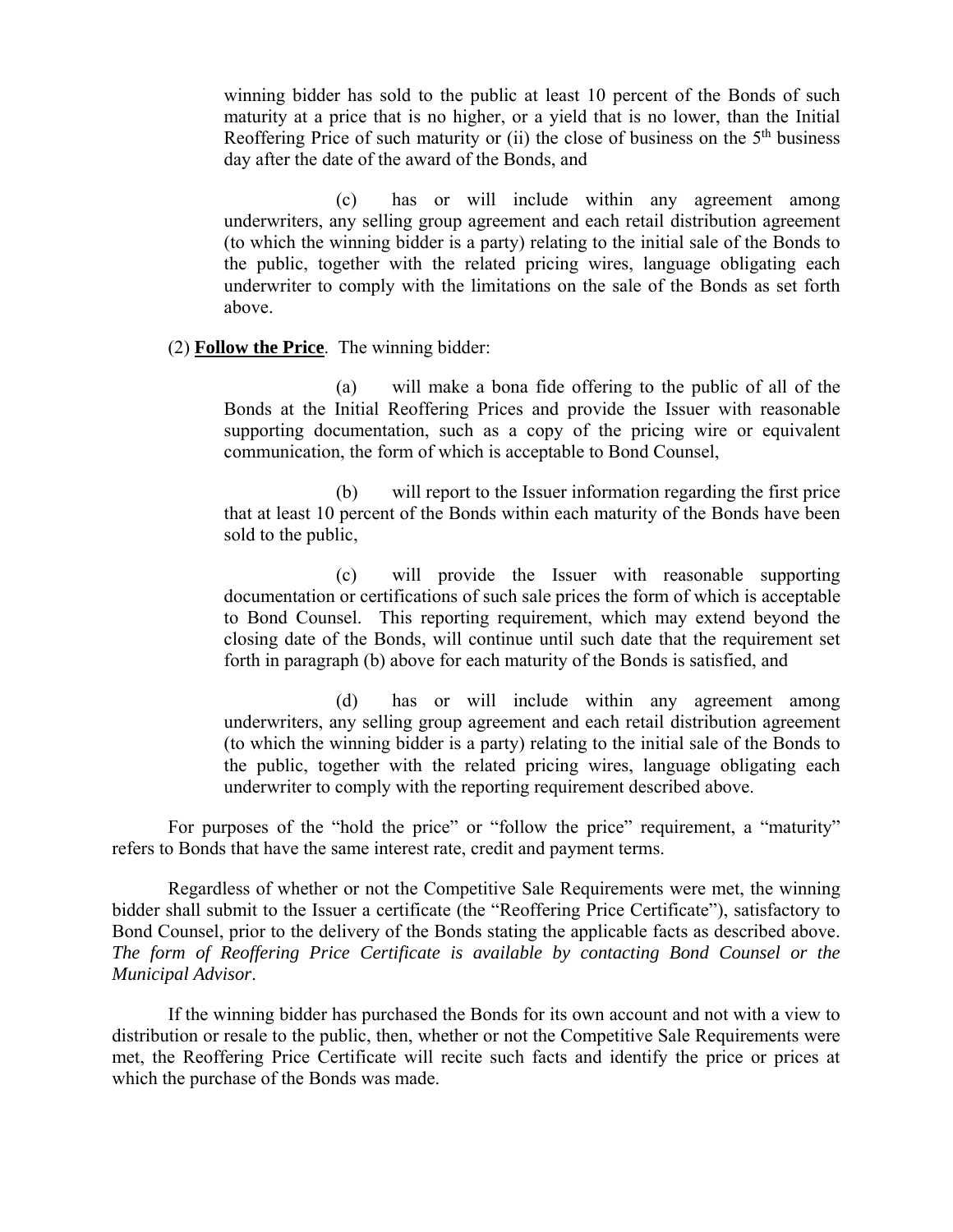winning bidder has sold to the public at least 10 percent of the Bonds of such maturity at a price that is no higher, or a yield that is no lower, than the Initial Reoffering Price of such maturity or (ii) the close of business on the  $5<sup>th</sup>$  business day after the date of the award of the Bonds, and

(c) has or will include within any agreement among underwriters, any selling group agreement and each retail distribution agreement (to which the winning bidder is a party) relating to the initial sale of the Bonds to the public, together with the related pricing wires, language obligating each underwriter to comply with the limitations on the sale of the Bonds as set forth above.

#### (2) **Follow the Price**. The winning bidder:

(a) will make a bona fide offering to the public of all of the Bonds at the Initial Reoffering Prices and provide the Issuer with reasonable supporting documentation, such as a copy of the pricing wire or equivalent communication, the form of which is acceptable to Bond Counsel,

(b) will report to the Issuer information regarding the first price that at least 10 percent of the Bonds within each maturity of the Bonds have been sold to the public,

(c) will provide the Issuer with reasonable supporting documentation or certifications of such sale prices the form of which is acceptable to Bond Counsel. This reporting requirement, which may extend beyond the closing date of the Bonds, will continue until such date that the requirement set forth in paragraph (b) above for each maturity of the Bonds is satisfied, and

(d) has or will include within any agreement among underwriters, any selling group agreement and each retail distribution agreement (to which the winning bidder is a party) relating to the initial sale of the Bonds to the public, together with the related pricing wires, language obligating each underwriter to comply with the reporting requirement described above.

For purposes of the "hold the price" or "follow the price" requirement, a "maturity" refers to Bonds that have the same interest rate, credit and payment terms.

Regardless of whether or not the Competitive Sale Requirements were met, the winning bidder shall submit to the Issuer a certificate (the "Reoffering Price Certificate"), satisfactory to Bond Counsel, prior to the delivery of the Bonds stating the applicable facts as described above. *The form of Reoffering Price Certificate is available by contacting Bond Counsel or the Municipal Advisor*.

If the winning bidder has purchased the Bonds for its own account and not with a view to distribution or resale to the public, then, whether or not the Competitive Sale Requirements were met, the Reoffering Price Certificate will recite such facts and identify the price or prices at which the purchase of the Bonds was made.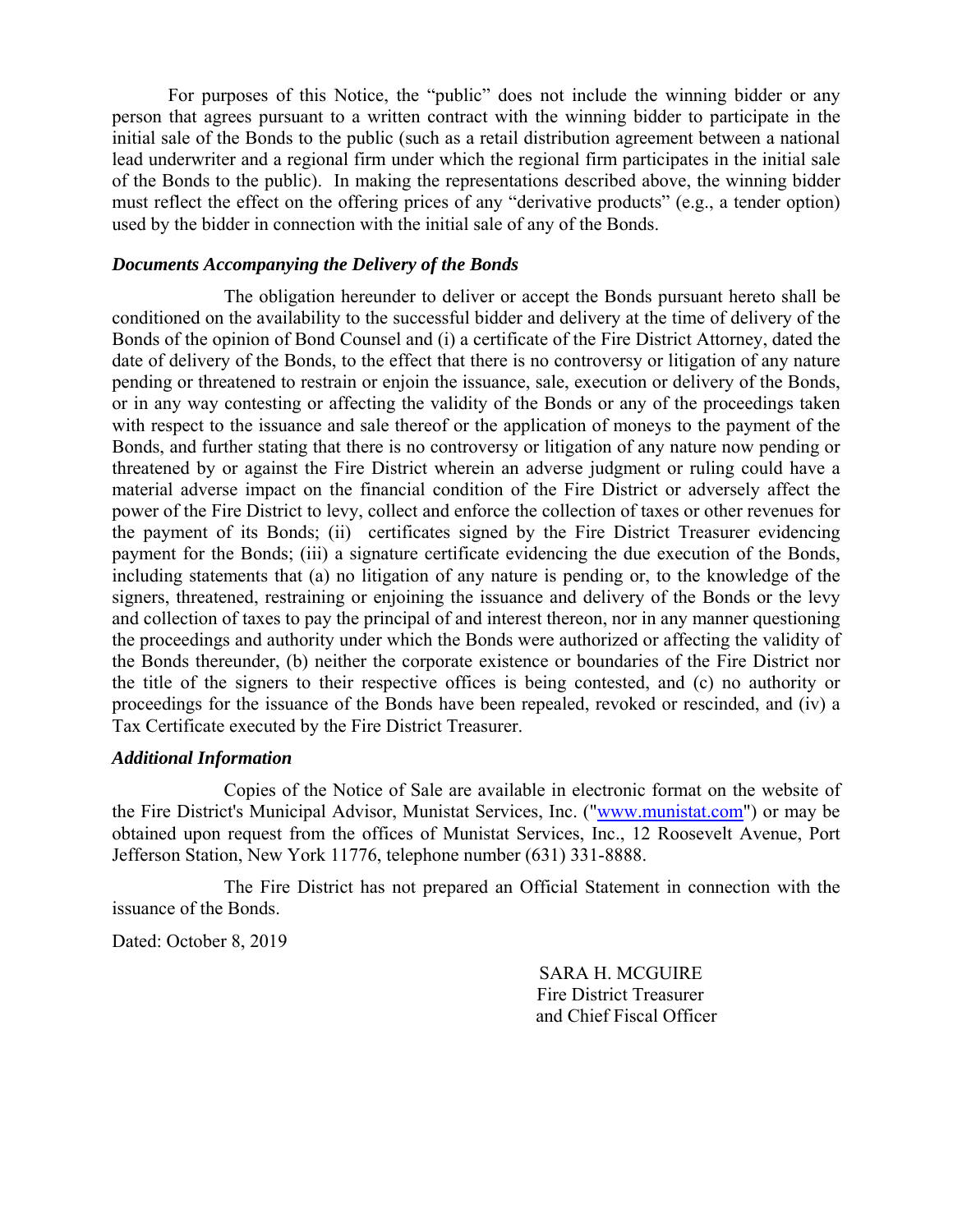For purposes of this Notice, the "public" does not include the winning bidder or any person that agrees pursuant to a written contract with the winning bidder to participate in the initial sale of the Bonds to the public (such as a retail distribution agreement between a national lead underwriter and a regional firm under which the regional firm participates in the initial sale of the Bonds to the public). In making the representations described above, the winning bidder must reflect the effect on the offering prices of any "derivative products" (e.g., a tender option) used by the bidder in connection with the initial sale of any of the Bonds.

#### *Documents Accompanying the Delivery of the Bonds*

The obligation hereunder to deliver or accept the Bonds pursuant hereto shall be conditioned on the availability to the successful bidder and delivery at the time of delivery of the Bonds of the opinion of Bond Counsel and (i) a certificate of the Fire District Attorney, dated the date of delivery of the Bonds, to the effect that there is no controversy or litigation of any nature pending or threatened to restrain or enjoin the issuance, sale, execution or delivery of the Bonds, or in any way contesting or affecting the validity of the Bonds or any of the proceedings taken with respect to the issuance and sale thereof or the application of moneys to the payment of the Bonds, and further stating that there is no controversy or litigation of any nature now pending or threatened by or against the Fire District wherein an adverse judgment or ruling could have a material adverse impact on the financial condition of the Fire District or adversely affect the power of the Fire District to levy, collect and enforce the collection of taxes or other revenues for the payment of its Bonds; (ii) certificates signed by the Fire District Treasurer evidencing payment for the Bonds; (iii) a signature certificate evidencing the due execution of the Bonds, including statements that (a) no litigation of any nature is pending or, to the knowledge of the signers, threatened, restraining or enjoining the issuance and delivery of the Bonds or the levy and collection of taxes to pay the principal of and interest thereon, nor in any manner questioning the proceedings and authority under which the Bonds were authorized or affecting the validity of the Bonds thereunder, (b) neither the corporate existence or boundaries of the Fire District nor the title of the signers to their respective offices is being contested, and (c) no authority or proceedings for the issuance of the Bonds have been repealed, revoked or rescinded, and (iv) a Tax Certificate executed by the Fire District Treasurer.

#### *Additional Information*

Copies of the Notice of Sale are available in electronic format on the website of the Fire District's Municipal Advisor, Munistat Services, Inc. ("www.munistat.com") or may be obtained upon request from the offices of Munistat Services, Inc., 12 Roosevelt Avenue, Port Jefferson Station, New York 11776, telephone number (631) 331-8888.

The Fire District has not prepared an Official Statement in connection with the issuance of the Bonds.

Dated: October 8, 2019

 SARA H. MCGUIRE Fire District Treasurer and Chief Fiscal Officer